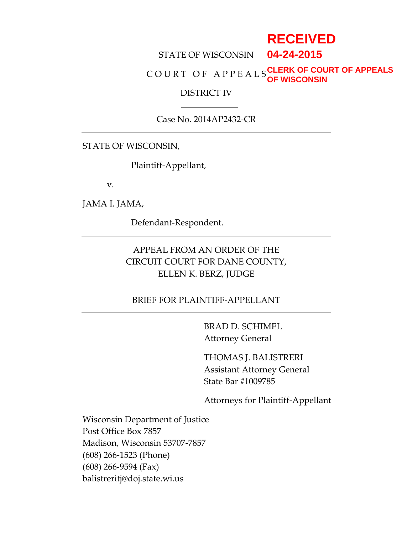# **RECEIVED**

#### STATE OF WISCONSIN **04-24-2015**

#### C O U R T O F A P P E A L S **CLERK OF COURT OF APPEALS OF WISCONSIN**

#### DISTRICT IV

#### Case No. 2014AP2432-CR

STATE OF WISCONSIN,

Plaintiff-Appellant,

v.

JAMA I. JAMA,

Defendant-Respondent.

# APPEAL FROM AN ORDER OF THE CIRCUIT COURT FOR DANE COUNTY, ELLEN K. BERZ, JUDGE

#### BRIEF FOR PLAINTIFF-APPELLANT

BRAD D. SCHIMEL Attorney General

THOMAS J. BALISTRERI Assistant Attorney General State Bar #1009785

Attorneys for Plaintiff-Appellant

Wisconsin Department of Justice Post Office Box 7857 Madison, Wisconsin 53707-7857 (608) 266-1523 (Phone) (608) 266-9594 (Fax) balistreritj@doj.state.wi.us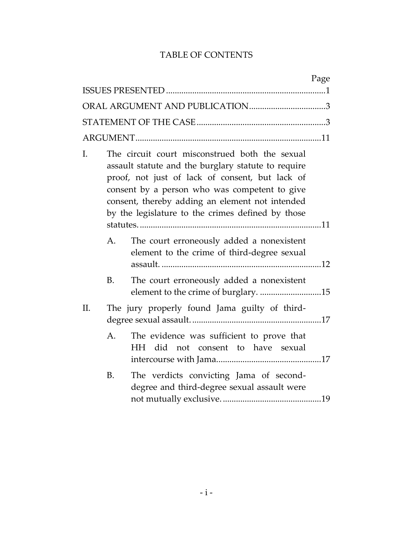# TABLE OF CONTENTS

|           | Page                                                                                                                                                                                                                                                                                                              |
|-----------|-------------------------------------------------------------------------------------------------------------------------------------------------------------------------------------------------------------------------------------------------------------------------------------------------------------------|
|           |                                                                                                                                                                                                                                                                                                                   |
|           |                                                                                                                                                                                                                                                                                                                   |
|           |                                                                                                                                                                                                                                                                                                                   |
|           |                                                                                                                                                                                                                                                                                                                   |
| I.        | The circuit court misconstrued both the sexual<br>assault statute and the burglary statute to require<br>proof, not just of lack of consent, but lack of<br>consent by a person who was competent to give<br>consent, thereby adding an element not intended<br>by the legislature to the crimes defined by those |
| A.        | The court erroneously added a nonexistent<br>element to the crime of third-degree sexual                                                                                                                                                                                                                          |
| <b>B.</b> | The court erroneously added a nonexistent<br>element to the crime of burglary. 15                                                                                                                                                                                                                                 |
| Π.        | The jury properly found Jama guilty of third-                                                                                                                                                                                                                                                                     |
| A.        | The evidence was sufficient to prove that<br>HH did not consent to have sexual                                                                                                                                                                                                                                    |
| B.        | The verdicts convicting Jama of second-<br>degree and third-degree sexual assault were                                                                                                                                                                                                                            |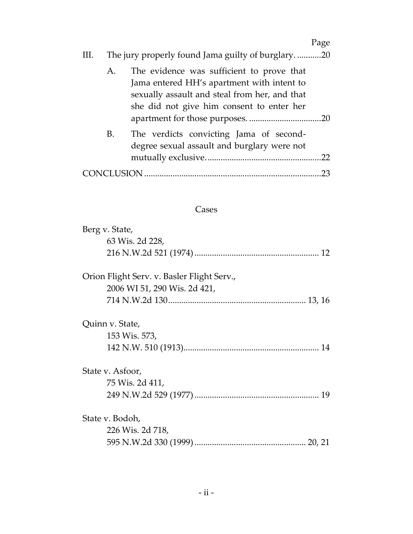|    |         |                                                                                                                                                                                       | Page |
|----|---------|---------------------------------------------------------------------------------------------------------------------------------------------------------------------------------------|------|
| Ш. |         | The jury properly found Jama guilty of burglary20                                                                                                                                     |      |
|    | A.      | The evidence was sufficient to prove that<br>Jama entered HH's apartment with intent to<br>sexually assault and steal from her, and that<br>she did not give him consent to enter her |      |
|    | B.      | The verdicts convicting Jama of second-<br>degree sexual assault and burglary were not                                                                                                |      |
|    | CLUSION |                                                                                                                                                                                       | 23   |

# Cases

| Berg v. State,                             |
|--------------------------------------------|
| 63 Wis. 2d 228,                            |
|                                            |
| Orion Flight Serv. v. Basler Flight Serv., |
| 2006 WI 51, 290 Wis. 2d 421,               |
|                                            |
| Quinn v. State,                            |
| 153 Wis. 573,                              |
|                                            |
| State v. Asfoor,                           |
| 75 Wis. 2d 411,                            |
|                                            |
| State v. Bodoh,                            |
| 226 Wis. 2d 718,                           |
|                                            |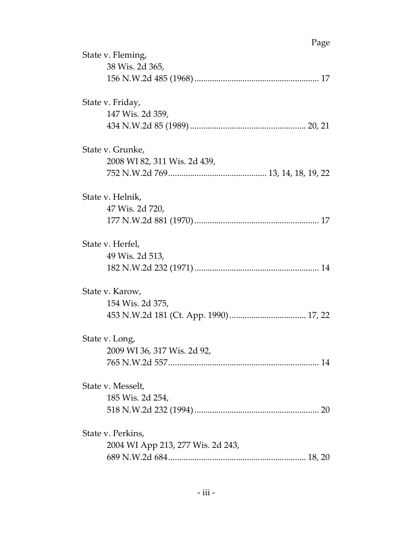|                   |                                   | Page |
|-------------------|-----------------------------------|------|
| State v. Fleming, |                                   |      |
|                   | 38 Wis. 2d 365,                   |      |
|                   |                                   |      |
| State v. Friday,  |                                   |      |
|                   | 147 Wis. 2d 359,                  |      |
|                   |                                   |      |
| State v. Grunke,  |                                   |      |
|                   | 2008 WI 82, 311 Wis. 2d 439,      |      |
|                   |                                   |      |
| State v. Helnik,  |                                   |      |
|                   | 47 Wis. 2d 720,                   |      |
|                   |                                   |      |
| State v. Herfel,  |                                   |      |
|                   | 49 Wis. 2d 513,                   |      |
|                   |                                   |      |
| State v. Karow,   |                                   |      |
|                   | 154 Wis. 2d 375,                  |      |
|                   |                                   |      |
| State v. Long,    |                                   |      |
|                   | 2009 WI 36, 317 Wis. 2d 92,       |      |
|                   |                                   |      |
| State v. Messelt, |                                   |      |
|                   | 185 Wis. 2d 254,                  |      |
|                   |                                   |      |
| State v. Perkins, |                                   |      |
|                   | 2004 WI App 213, 277 Wis. 2d 243, |      |
|                   |                                   |      |
|                   |                                   |      |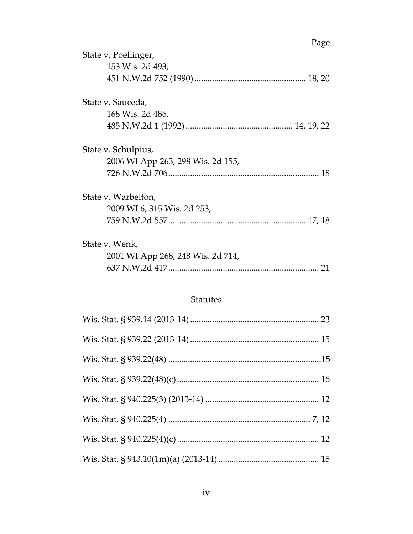|                                   | Page |
|-----------------------------------|------|
| State v. Poellinger,              |      |
| 153 Wis. 2d 493,                  |      |
|                                   |      |
| State v. Sauceda,                 |      |
| 168 Wis. 2d 486,                  |      |
|                                   |      |
| State v. Schulpius,               |      |
| 2006 WI App 263, 298 Wis. 2d 155, |      |
|                                   |      |
| State v. Warbelton,               |      |
| 2009 WI 6, 315 Wis. 2d 253,       |      |
|                                   |      |
| State v. Wenk,                    |      |
| 2001 WI App 268, 248 Wis. 2d 714, |      |
|                                   | 21   |

### Statutes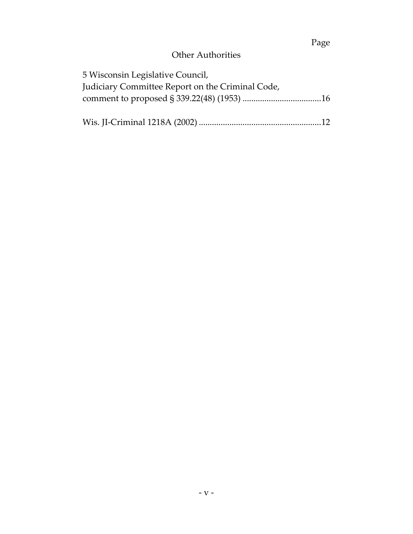# Page

# Other Authorities

| 5 Wisconsin Legislative Council,                 |  |
|--------------------------------------------------|--|
| Judiciary Committee Report on the Criminal Code, |  |
|                                                  |  |
|                                                  |  |
|                                                  |  |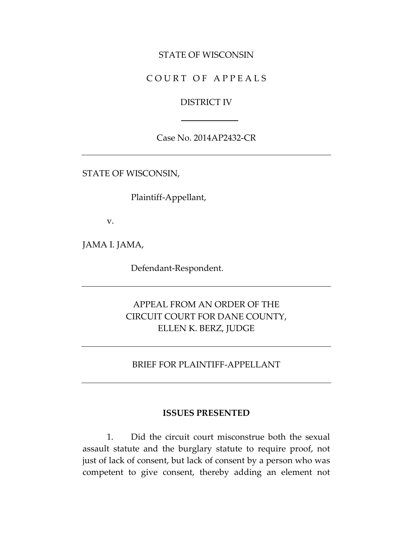#### STATE OF WISCONSIN

### COURT OF APPEALS

#### DISTRICT IV

#### Case No. 2014AP2432-CR

STATE OF WISCONSIN,

Plaintiff-Appellant,

v.

JAMA I. JAMA,

Defendant-Respondent.

# APPEAL FROM AN ORDER OF THE CIRCUIT COURT FOR DANE COUNTY, ELLEN K. BERZ, JUDGE

#### BRIEF FOR PLAINTIFF-APPELLANT

#### **ISSUES PRESENTED**

1. Did the circuit court misconstrue both the sexual assault statute and the burglary statute to require proof, not just of lack of consent, but lack of consent by a person who was competent to give consent, thereby adding an element not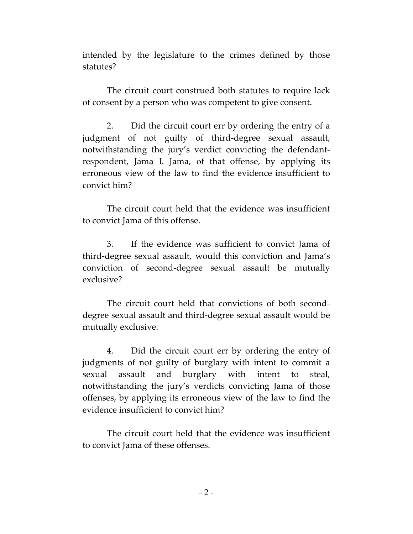intended by the legislature to the crimes defined by those statutes?

The circuit court construed both statutes to require lack of consent by a person who was competent to give consent.

2. Did the circuit court err by ordering the entry of a judgment of not guilty of third-degree sexual assault, notwithstanding the jury's verdict convicting the defendantrespondent, Jama I. Jama, of that offense, by applying its erroneous view of the law to find the evidence insufficient to convict him?

The circuit court held that the evidence was insufficient to convict Jama of this offense.

3. If the evidence was sufficient to convict Jama of third-degree sexual assault, would this conviction and Jama's conviction of second-degree sexual assault be mutually exclusive?

The circuit court held that convictions of both seconddegree sexual assault and third-degree sexual assault would be mutually exclusive.

4. Did the circuit court err by ordering the entry of judgments of not guilty of burglary with intent to commit a sexual assault and burglary with intent to steal, notwithstanding the jury's verdicts convicting Jama of those offenses, by applying its erroneous view of the law to find the evidence insufficient to convict him?

The circuit court held that the evidence was insufficient to convict Jama of these offenses.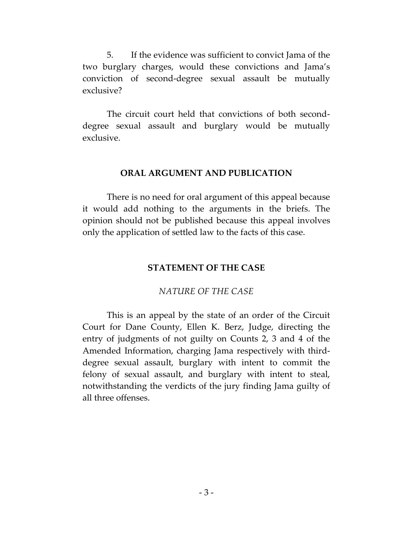5. If the evidence was sufficient to convict Jama of the two burglary charges, would these convictions and Jama's conviction of second-degree sexual assault be mutually exclusive?

The circuit court held that convictions of both seconddegree sexual assault and burglary would be mutually exclusive.

#### **ORAL ARGUMENT AND PUBLICATION**

There is no need for oral argument of this appeal because it would add nothing to the arguments in the briefs. The opinion should not be published because this appeal involves only the application of settled law to the facts of this case.

#### **STATEMENT OF THE CASE**

#### *NATURE OF THE CASE*

This is an appeal by the state of an order of the Circuit Court for Dane County, Ellen K. Berz, Judge, directing the entry of judgments of not guilty on Counts 2, 3 and 4 of the Amended Information, charging Jama respectively with thirddegree sexual assault, burglary with intent to commit the felony of sexual assault, and burglary with intent to steal, notwithstanding the verdicts of the jury finding Jama guilty of all three offenses.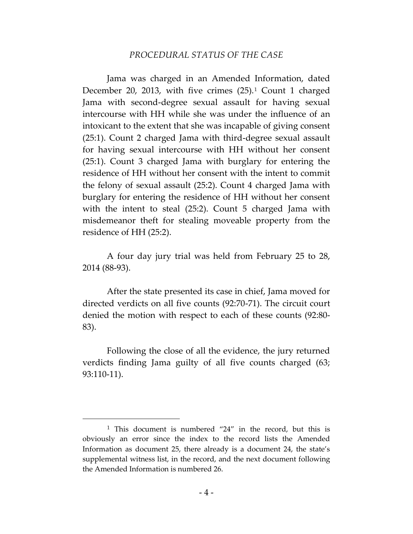#### *PROCEDURAL STATUS OF THE CASE*

Jama was charged in an Amended Information, dated December 20, 2013, with five crimes  $(25)$ . Count 1 charged Jama with second-degree sexual assault for having sexual intercourse with HH while she was under the influence of an intoxicant to the extent that she was incapable of giving consent (25:1). Count 2 charged Jama with third-degree sexual assault for having sexual intercourse with HH without her consent (25:1). Count 3 charged Jama with burglary for entering the residence of HH without her consent with the intent to commit the felony of sexual assault (25:2). Count 4 charged Jama with burglary for entering the residence of HH without her consent with the intent to steal (25:2). Count 5 charged Jama with misdemeanor theft for stealing moveable property from the residence of HH (25:2).

A four day jury trial was held from February 25 to 28, 2014 (88-93).

After the state presented its case in chief, Jama moved for directed verdicts on all five counts (92:70-71). The circuit court denied the motion with respect to each of these counts (92:80- 83).

Following the close of all the evidence, the jury returned verdicts finding Jama guilty of all five counts charged (63; 93:110-11).

 $\overline{a}$ 

<sup>1</sup> This document is numbered "24" in the record, but this is obviously an error since the index to the record lists the Amended Information as document 25, there already is a document 24, the state's supplemental witness list, in the record, and the next document following the Amended Information is numbered 26.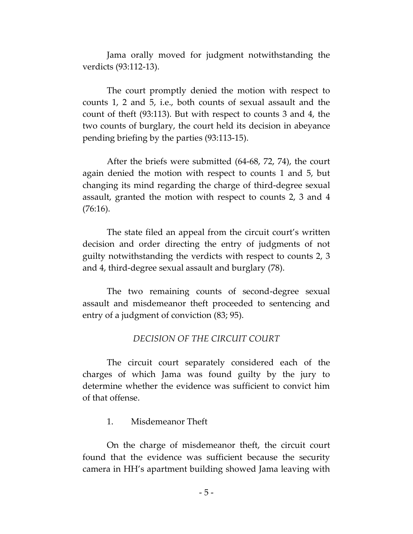Jama orally moved for judgment notwithstanding the verdicts (93:112-13).

The court promptly denied the motion with respect to counts 1, 2 and 5, i.e., both counts of sexual assault and the count of theft (93:113). But with respect to counts 3 and 4, the two counts of burglary, the court held its decision in abeyance pending briefing by the parties (93:113-15).

After the briefs were submitted (64-68, 72, 74), the court again denied the motion with respect to counts 1 and 5, but changing its mind regarding the charge of third-degree sexual assault, granted the motion with respect to counts 2, 3 and 4 (76:16).

The state filed an appeal from the circuit court's written decision and order directing the entry of judgments of not guilty notwithstanding the verdicts with respect to counts 2, 3 and 4, third-degree sexual assault and burglary (78).

The two remaining counts of second-degree sexual assault and misdemeanor theft proceeded to sentencing and entry of a judgment of conviction (83; 95).

#### *DECISION OF THE CIRCUIT COURT*

The circuit court separately considered each of the charges of which Jama was found guilty by the jury to determine whether the evidence was sufficient to convict him of that offense.

#### 1. Misdemeanor Theft

On the charge of misdemeanor theft, the circuit court found that the evidence was sufficient because the security camera in HH's apartment building showed Jama leaving with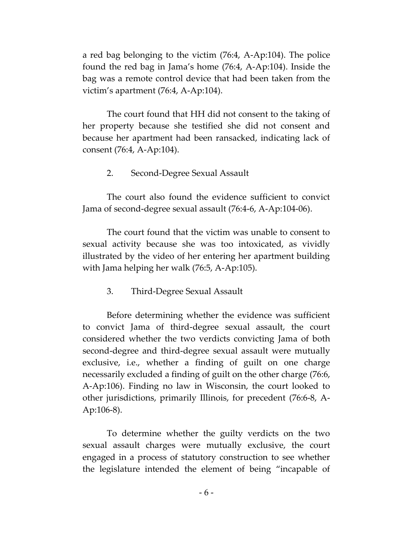a red bag belonging to the victim (76:4, A-Ap:104). The police found the red bag in Jama's home (76:4, A-Ap:104). Inside the bag was a remote control device that had been taken from the victim's apartment (76:4, A-Ap:104).

The court found that HH did not consent to the taking of her property because she testified she did not consent and because her apartment had been ransacked, indicating lack of consent (76:4, A-Ap:104).

2. Second-Degree Sexual Assault

The court also found the evidence sufficient to convict Jama of second-degree sexual assault (76:4-6, A-Ap:104-06).

The court found that the victim was unable to consent to sexual activity because she was too intoxicated, as vividly illustrated by the video of her entering her apartment building with Jama helping her walk (76:5, A-Ap:105).

3. Third-Degree Sexual Assault

Before determining whether the evidence was sufficient to convict Jama of third-degree sexual assault, the court considered whether the two verdicts convicting Jama of both second-degree and third-degree sexual assault were mutually exclusive, i.e., whether a finding of guilt on one charge necessarily excluded a finding of guilt on the other charge (76:6, A-Ap:106). Finding no law in Wisconsin, the court looked to other jurisdictions, primarily Illinois, for precedent (76:6-8, A-Ap:106-8).

To determine whether the guilty verdicts on the two sexual assault charges were mutually exclusive, the court engaged in a process of statutory construction to see whether the legislature intended the element of being "incapable of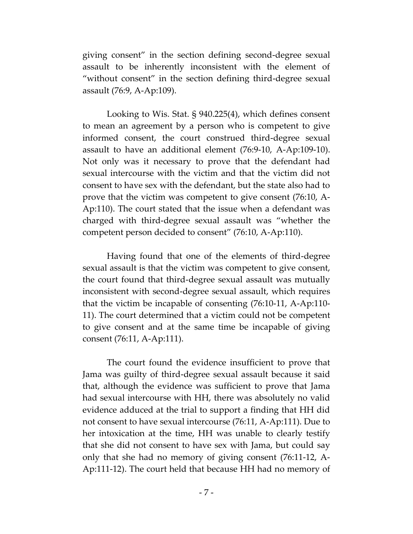giving consent" in the section defining second-degree sexual assault to be inherently inconsistent with the element of "without consent" in the section defining third-degree sexual assault (76:9, A-Ap:109).

Looking to Wis. Stat. § 940.225(4), which defines consent to mean an agreement by a person who is competent to give informed consent, the court construed third-degree sexual assault to have an additional element (76:9-10, A-Ap:109-10). Not only was it necessary to prove that the defendant had sexual intercourse with the victim and that the victim did not consent to have sex with the defendant, but the state also had to prove that the victim was competent to give consent (76:10, A-Ap:110). The court stated that the issue when a defendant was charged with third-degree sexual assault was "whether the competent person decided to consent" (76:10, A-Ap:110).

Having found that one of the elements of third-degree sexual assault is that the victim was competent to give consent, the court found that third-degree sexual assault was mutually inconsistent with second-degree sexual assault, which requires that the victim be incapable of consenting (76:10-11, A-Ap:110- 11). The court determined that a victim could not be competent to give consent and at the same time be incapable of giving consent (76:11, A-Ap:111).

The court found the evidence insufficient to prove that Jama was guilty of third-degree sexual assault because it said that, although the evidence was sufficient to prove that Jama had sexual intercourse with HH, there was absolutely no valid evidence adduced at the trial to support a finding that HH did not consent to have sexual intercourse (76:11, A-Ap:111). Due to her intoxication at the time, HH was unable to clearly testify that she did not consent to have sex with Jama, but could say only that she had no memory of giving consent (76:11-12, A-Ap:111-12). The court held that because HH had no memory of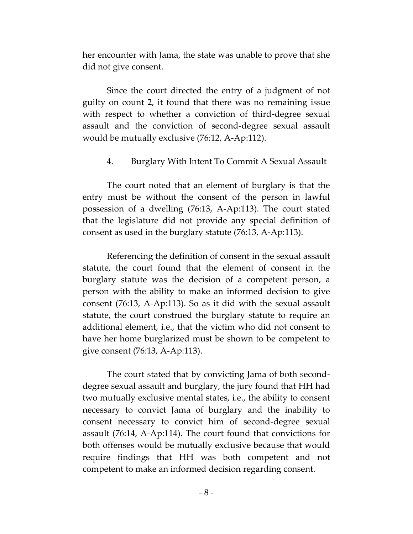her encounter with Jama, the state was unable to prove that she did not give consent.

Since the court directed the entry of a judgment of not guilty on count 2, it found that there was no remaining issue with respect to whether a conviction of third-degree sexual assault and the conviction of second-degree sexual assault would be mutually exclusive (76:12, A-Ap:112).

#### 4. Burglary With Intent To Commit A Sexual Assault

The court noted that an element of burglary is that the entry must be without the consent of the person in lawful possession of a dwelling (76:13, A-Ap:113). The court stated that the legislature did not provide any special definition of consent as used in the burglary statute (76:13, A-Ap:113).

Referencing the definition of consent in the sexual assault statute, the court found that the element of consent in the burglary statute was the decision of a competent person, a person with the ability to make an informed decision to give consent (76:13, A-Ap:113). So as it did with the sexual assault statute, the court construed the burglary statute to require an additional element, i.e., that the victim who did not consent to have her home burglarized must be shown to be competent to give consent (76:13, A-Ap:113).

The court stated that by convicting Jama of both seconddegree sexual assault and burglary, the jury found that HH had two mutually exclusive mental states, i.e., the ability to consent necessary to convict Jama of burglary and the inability to consent necessary to convict him of second-degree sexual assault (76:14, A-Ap:114). The court found that convictions for both offenses would be mutually exclusive because that would require findings that HH was both competent and not competent to make an informed decision regarding consent.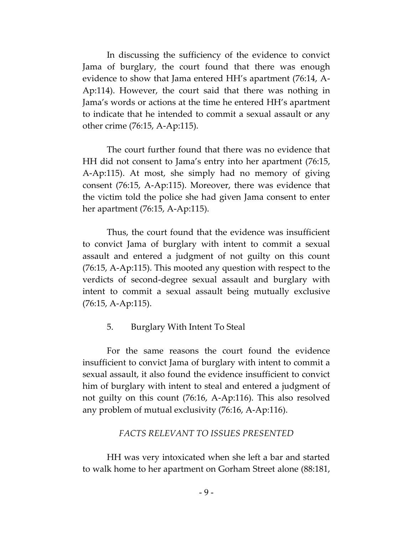In discussing the sufficiency of the evidence to convict Jama of burglary, the court found that there was enough evidence to show that Jama entered HH's apartment (76:14, A-Ap:114). However, the court said that there was nothing in Jama's words or actions at the time he entered HH's apartment to indicate that he intended to commit a sexual assault or any other crime (76:15, A-Ap:115).

The court further found that there was no evidence that HH did not consent to Jama's entry into her apartment (76:15, A-Ap:115). At most, she simply had no memory of giving consent (76:15, A-Ap:115). Moreover, there was evidence that the victim told the police she had given Jama consent to enter her apartment (76:15, A-Ap:115).

Thus, the court found that the evidence was insufficient to convict Jama of burglary with intent to commit a sexual assault and entered a judgment of not guilty on this count (76:15, A-Ap:115). This mooted any question with respect to the verdicts of second-degree sexual assault and burglary with intent to commit a sexual assault being mutually exclusive (76:15, A-Ap:115).

#### 5. Burglary With Intent To Steal

For the same reasons the court found the evidence insufficient to convict Jama of burglary with intent to commit a sexual assault, it also found the evidence insufficient to convict him of burglary with intent to steal and entered a judgment of not guilty on this count (76:16, A-Ap:116). This also resolved any problem of mutual exclusivity (76:16, A-Ap:116).

#### *FACTS RELEVANT TO ISSUES PRESENTED*

HH was very intoxicated when she left a bar and started to walk home to her apartment on Gorham Street alone (88:181,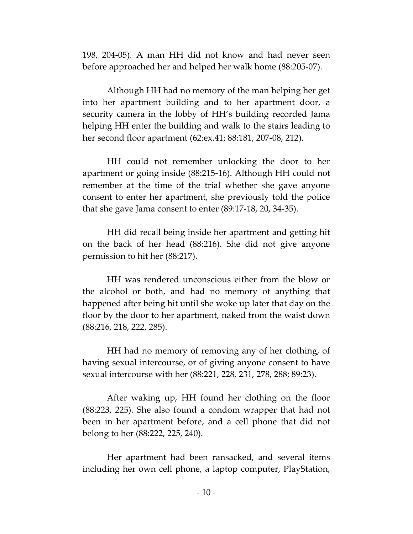198, 204-05). A man HH did not know and had never seen before approached her and helped her walk home (88:205-07).

Although HH had no memory of the man helping her get into her apartment building and to her apartment door, a security camera in the lobby of HH's building recorded Jama helping HH enter the building and walk to the stairs leading to her second floor apartment (62:ex.41; 88:181, 207-08, 212).

HH could not remember unlocking the door to her apartment or going inside (88:215-16). Although HH could not remember at the time of the trial whether she gave anyone consent to enter her apartment, she previously told the police that she gave Jama consent to enter (89:17-18, 20, 34-35).

HH did recall being inside her apartment and getting hit on the back of her head (88:216). She did not give anyone permission to hit her (88:217).

HH was rendered unconscious either from the blow or the alcohol or both, and had no memory of anything that happened after being hit until she woke up later that day on the floor by the door to her apartment, naked from the waist down (88:216, 218, 222, 285).

HH had no memory of removing any of her clothing, of having sexual intercourse, or of giving anyone consent to have sexual intercourse with her (88:221, 228, 231, 278, 288; 89:23).

After waking up, HH found her clothing on the floor (88:223, 225). She also found a condom wrapper that had not been in her apartment before, and a cell phone that did not belong to her (88:222, 225, 240).

Her apartment had been ransacked, and several items including her own cell phone, a laptop computer, PlayStation,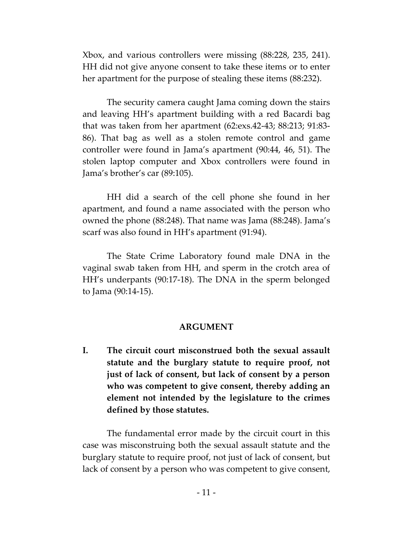Xbox, and various controllers were missing (88:228, 235, 241). HH did not give anyone consent to take these items or to enter her apartment for the purpose of stealing these items (88:232).

The security camera caught Jama coming down the stairs and leaving HH's apartment building with a red Bacardi bag that was taken from her apartment (62:exs.42-43; 88:213; 91:83- 86). That bag as well as a stolen remote control and game controller were found in Jama's apartment (90:44, 46, 51). The stolen laptop computer and Xbox controllers were found in Jama's brother's car (89:105).

HH did a search of the cell phone she found in her apartment, and found a name associated with the person who owned the phone (88:248). That name was Jama (88:248). Jama's scarf was also found in HH's apartment (91:94).

The State Crime Laboratory found male DNA in the vaginal swab taken from HH, and sperm in the crotch area of HH's underpants (90:17-18). The DNA in the sperm belonged to Jama (90:14-15).

#### **ARGUMENT**

**I. The circuit court misconstrued both the sexual assault statute and the burglary statute to require proof, not just of lack of consent, but lack of consent by a person who was competent to give consent, thereby adding an element not intended by the legislature to the crimes defined by those statutes.**

The fundamental error made by the circuit court in this case was misconstruing both the sexual assault statute and the burglary statute to require proof, not just of lack of consent, but lack of consent by a person who was competent to give consent,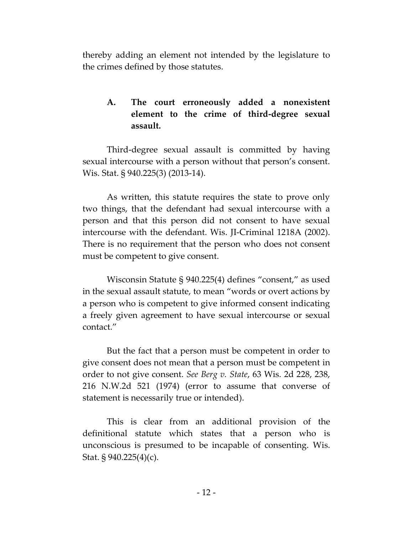thereby adding an element not intended by the legislature to the crimes defined by those statutes.

# **A. The court erroneously added a nonexistent element to the crime of third-degree sexual assault.**

Third-degree sexual assault is committed by having sexual intercourse with a person without that person's consent. Wis. Stat. § 940.225(3) (2013-14).

As written, this statute requires the state to prove only two things, that the defendant had sexual intercourse with a person and that this person did not consent to have sexual intercourse with the defendant. Wis. JI-Criminal 1218A (2002). There is no requirement that the person who does not consent must be competent to give consent.

Wisconsin Statute § 940.225(4) defines "consent," as used in the sexual assault statute, to mean "words or overt actions by a person who is competent to give informed consent indicating a freely given agreement to have sexual intercourse or sexual contact."

But the fact that a person must be competent in order to give consent does not mean that a person must be competent in order to not give consent. *See Berg v. State*, 63 Wis. 2d 228, 238, 216 N.W.2d 521 (1974) (error to assume that converse of statement is necessarily true or intended).

This is clear from an additional provision of the definitional statute which states that a person who is unconscious is presumed to be incapable of consenting. Wis. Stat. § 940.225(4)(c).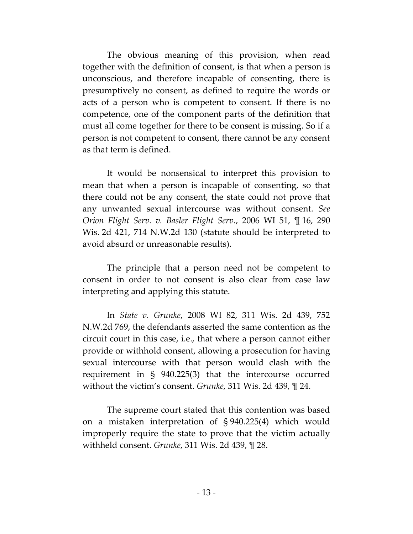The obvious meaning of this provision, when read together with the definition of consent, is that when a person is unconscious, and therefore incapable of consenting, there is presumptively no consent, as defined to require the words or acts of a person who is competent to consent. If there is no competence, one of the component parts of the definition that must all come together for there to be consent is missing. So if a person is not competent to consent, there cannot be any consent as that term is defined.

It would be nonsensical to interpret this provision to mean that when a person is incapable of consenting, so that there could not be any consent, the state could not prove that any unwanted sexual intercourse was without consent. *See Orion Flight Serv. v. Basler Flight Serv.*, 2006 WI 51, ¶ 16, 290 Wis. 2d 421, 714 N.W.2d 130 (statute should be interpreted to avoid absurd or unreasonable results).

The principle that a person need not be competent to consent in order to not consent is also clear from case law interpreting and applying this statute.

In *State v. Grunke*, 2008 WI 82, 311 Wis. 2d 439, 752 N.W.2d 769, the defendants asserted the same contention as the circuit court in this case, i.e., that where a person cannot either provide or withhold consent, allowing a prosecution for having sexual intercourse with that person would clash with the requirement in § 940.225(3) that the intercourse occurred without the victim's consent. *Grunke*, 311 Wis. 2d 439, ¶ 24.

The supreme court stated that this contention was based on a mistaken interpretation of § 940.225(4) which would improperly require the state to prove that the victim actually withheld consent. *Grunke*, 311 Wis. 2d 439, ¶ 28.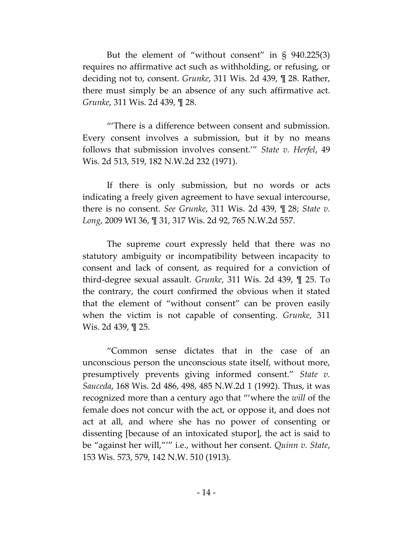But the element of "without consent" in § 940.225(3) requires no affirmative act such as withholding, or refusing, or deciding not to, consent. *Grunke*, 311 Wis. 2d 439, ¶ 28. Rather, there must simply be an absence of any such affirmative act. *Grunke*, 311 Wis. 2d 439, ¶ 28.

"'There is a difference between consent and submission. Every consent involves a submission, but it by no means follows that submission involves consent.'" *State v. Herfel*, 49 Wis. 2d 513, 519, 182 N.W.2d 232 (1971).

If there is only submission, but no words or acts indicating a freely given agreement to have sexual intercourse, there is no consent. *See Grunke*, 311 Wis. 2d 439, ¶ 28; *State v. Long*, 2009 WI 36, ¶ 31, 317 Wis. 2d 92, 765 N.W.2d 557.

The supreme court expressly held that there was no statutory ambiguity or incompatibility between incapacity to consent and lack of consent, as required for a conviction of third-degree sexual assault. *Grunke*, 311 Wis. 2d 439, ¶ 25. To the contrary, the court confirmed the obvious when it stated that the element of "without consent" can be proven easily when the victim is not capable of consenting. *Grunke*, 311 Wis. 2d 439, ¶ 25.

"Common sense dictates that in the case of an unconscious person the unconscious state itself, without more, presumptively prevents giving informed consent." *State v. Sauceda*, 168 Wis. 2d 486, 498, 485 N.W.2d 1 (1992). Thus, it was recognized more than a century ago that "'where the *will* of the female does not concur with the act, or oppose it, and does not act at all, and where she has no power of consenting or dissenting [because of an intoxicated stupor], the act is said to be "against her will,"'" i.e., without her consent. *Quinn v. State*, 153 Wis. 573, 579, 142 N.W. 510 (1913).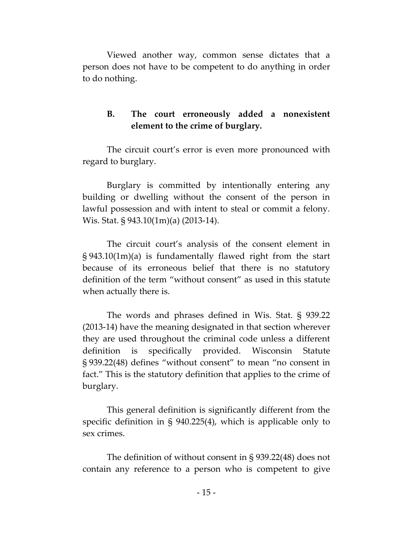Viewed another way, common sense dictates that a person does not have to be competent to do anything in order to do nothing.

# **B. The court erroneously added a nonexistent element to the crime of burglary.**

The circuit court's error is even more pronounced with regard to burglary.

Burglary is committed by intentionally entering any building or dwelling without the consent of the person in lawful possession and with intent to steal or commit a felony. Wis. Stat. § 943.10(1m)(a) (2013-14).

The circuit court's analysis of the consent element in § 943.10(1m)(a) is fundamentally flawed right from the start because of its erroneous belief that there is no statutory definition of the term "without consent" as used in this statute when actually there is.

The words and phrases defined in Wis. Stat. § 939.22 (2013-14) have the meaning designated in that section wherever they are used throughout the criminal code unless a different definition is specifically provided. Wisconsin Statute § 939.22(48) defines "without consent" to mean "no consent in fact." This is the statutory definition that applies to the crime of burglary.

This general definition is significantly different from the specific definition in § 940.225(4), which is applicable only to sex crimes.

The definition of without consent in § 939.22(48) does not contain any reference to a person who is competent to give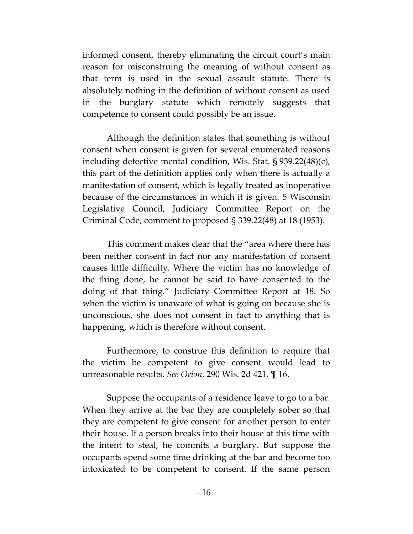informed consent, thereby eliminating the circuit court's main reason for misconstruing the meaning of without consent as that term is used in the sexual assault statute. There is absolutely nothing in the definition of without consent as used in the burglary statute which remotely suggests that competence to consent could possibly be an issue.

Although the definition states that something is without consent when consent is given for several enumerated reasons including defective mental condition, Wis. Stat. § 939.22(48)(c), this part of the definition applies only when there is actually a manifestation of consent, which is legally treated as inoperative because of the circumstances in which it is given. 5 Wisconsin Legislative Council, Judiciary Committee Report on the Criminal Code, comment to proposed § 339.22(48) at 18 (1953).

This comment makes clear that the "area where there has been neither consent in fact nor any manifestation of consent causes little difficulty. Where the victim has no knowledge of the thing done, he cannot be said to have consented to the doing of that thing." Judiciary Committee Report at 18. So when the victim is unaware of what is going on because she is unconscious, she does not consent in fact to anything that is happening, which is therefore without consent.

Furthermore, to construe this definition to require that the victim be competent to give consent would lead to unreasonable results. *See Orion*, 290 Wis. 2d 421, ¶ 16.

Suppose the occupants of a residence leave to go to a bar. When they arrive at the bar they are completely sober so that they are competent to give consent for another person to enter their house. If a person breaks into their house at this time with the intent to steal, he commits a burglary. But suppose the occupants spend some time drinking at the bar and become too intoxicated to be competent to consent. If the same person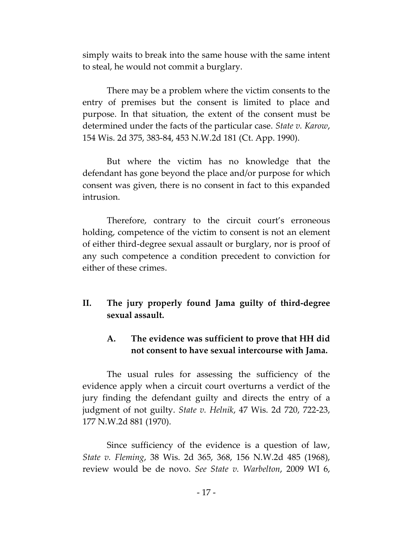simply waits to break into the same house with the same intent to steal, he would not commit a burglary.

There may be a problem where the victim consents to the entry of premises but the consent is limited to place and purpose. In that situation, the extent of the consent must be determined under the facts of the particular case. *State v. Karow*, 154 Wis. 2d 375, 383-84, 453 N.W.2d 181 (Ct. App. 1990).

But where the victim has no knowledge that the defendant has gone beyond the place and/or purpose for which consent was given, there is no consent in fact to this expanded intrusion.

Therefore, contrary to the circuit court's erroneous holding, competence of the victim to consent is not an element of either third-degree sexual assault or burglary, nor is proof of any such competence a condition precedent to conviction for either of these crimes.

**II. The jury properly found Jama guilty of third-degree sexual assault.**

# **A. The evidence was sufficient to prove that HH did not consent to have sexual intercourse with Jama.**

The usual rules for assessing the sufficiency of the evidence apply when a circuit court overturns a verdict of the jury finding the defendant guilty and directs the entry of a judgment of not guilty. *State v. Helnik*, 47 Wis. 2d 720, 722-23, 177 N.W.2d 881 (1970).

Since sufficiency of the evidence is a question of law, *State v. Fleming*, 38 Wis. 2d 365, 368, 156 N.W.2d 485 (1968), review would be de novo. *See State v. Warbelton*, 2009 WI 6,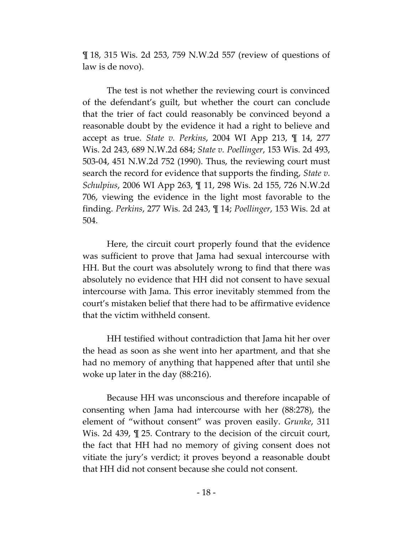¶ 18, 315 Wis. 2d 253, 759 N.W.2d 557 (review of questions of law is de novo).

The test is not whether the reviewing court is convinced of the defendant's guilt, but whether the court can conclude that the trier of fact could reasonably be convinced beyond a reasonable doubt by the evidence it had a right to believe and accept as true. *State v. Perkins*, 2004 WI App 213, ¶ 14, 277 Wis. 2d 243, 689 N.W.2d 684; *State v. Poellinger*, 153 Wis. 2d 493, 503-04, 451 N.W.2d 752 (1990). Thus, the reviewing court must search the record for evidence that supports the finding, *State v. Schulpius*, 2006 WI App 263, ¶ 11, 298 Wis. 2d 155, 726 N.W.2d 706, viewing the evidence in the light most favorable to the finding. *Perkins*, 277 Wis. 2d 243, ¶ 14; *Poellinger*, 153 Wis. 2d at 504.

Here, the circuit court properly found that the evidence was sufficient to prove that Jama had sexual intercourse with HH. But the court was absolutely wrong to find that there was absolutely no evidence that HH did not consent to have sexual intercourse with Jama. This error inevitably stemmed from the court's mistaken belief that there had to be affirmative evidence that the victim withheld consent.

HH testified without contradiction that Jama hit her over the head as soon as she went into her apartment, and that she had no memory of anything that happened after that until she woke up later in the day (88:216).

Because HH was unconscious and therefore incapable of consenting when Jama had intercourse with her (88:278), the element of "without consent" was proven easily. *Grunke*, 311 Wis. 2d 439, ¶ 25. Contrary to the decision of the circuit court, the fact that HH had no memory of giving consent does not vitiate the jury's verdict; it proves beyond a reasonable doubt that HH did not consent because she could not consent.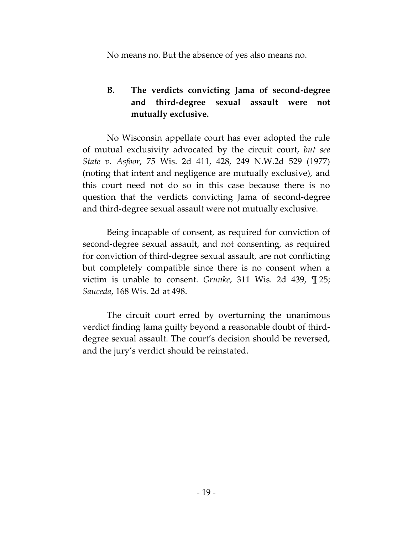No means no. But the absence of yes also means no.

# **B. The verdicts convicting Jama of second-degree and third-degree sexual assault were not mutually exclusive.**

No Wisconsin appellate court has ever adopted the rule of mutual exclusivity advocated by the circuit court, *but see State v. Asfoor*, 75 Wis. 2d 411, 428, 249 N.W.2d 529 (1977) (noting that intent and negligence are mutually exclusive), and this court need not do so in this case because there is no question that the verdicts convicting Jama of second-degree and third-degree sexual assault were not mutually exclusive.

Being incapable of consent, as required for conviction of second-degree sexual assault, and not consenting, as required for conviction of third-degree sexual assault, are not conflicting but completely compatible since there is no consent when a victim is unable to consent. *Grunke*, 311 Wis. 2d 439, ¶ 25; *Sauceda*, 168 Wis. 2d at 498.

The circuit court erred by overturning the unanimous verdict finding Jama guilty beyond a reasonable doubt of thirddegree sexual assault. The court's decision should be reversed, and the jury's verdict should be reinstated.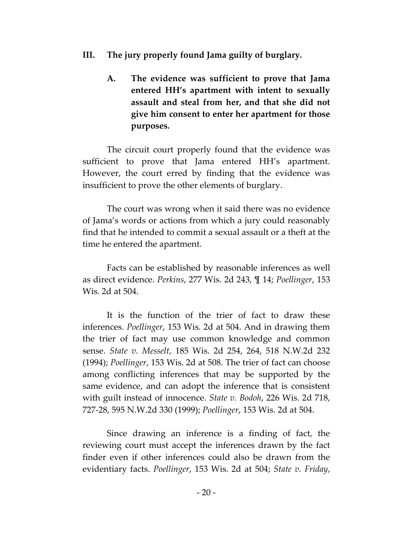- **III. The jury properly found Jama guilty of burglary.**
	- **A. The evidence was sufficient to prove that Jama entered HH's apartment with intent to sexually assault and steal from her, and that she did not give him consent to enter her apartment for those purposes.**

The circuit court properly found that the evidence was sufficient to prove that Jama entered HH's apartment. However, the court erred by finding that the evidence was insufficient to prove the other elements of burglary.

The court was wrong when it said there was no evidence of Jama's words or actions from which a jury could reasonably find that he intended to commit a sexual assault or a theft at the time he entered the apartment.

Facts can be established by reasonable inferences as well as direct evidence. *Perkins*, 277 Wis. 2d 243, ¶ 14; *Poellinger*, 153 Wis. 2d at 504.

It is the function of the trier of fact to draw these inferences. *Poellinger*, 153 Wis. 2d at 504. And in drawing them the trier of fact may use common knowledge and common sense. *State v. Messelt*, 185 Wis. 2d 254, 264, 518 N.W.2d 232 (1994); *Poellinger*, 153 Wis. 2d at 508. The trier of fact can choose among conflicting inferences that may be supported by the same evidence, and can adopt the inference that is consistent with guilt instead of innocence. *State v. Bodoh*, 226 Wis. 2d 718, 727-28, 595 N.W.2d 330 (1999); *Poellinger*, 153 Wis. 2d at 504.

Since drawing an inference is a finding of fact, the reviewing court must accept the inferences drawn by the fact finder even if other inferences could also be drawn from the evidentiary facts. *Poellinger*, 153 Wis. 2d at 504; *State v. Friday*,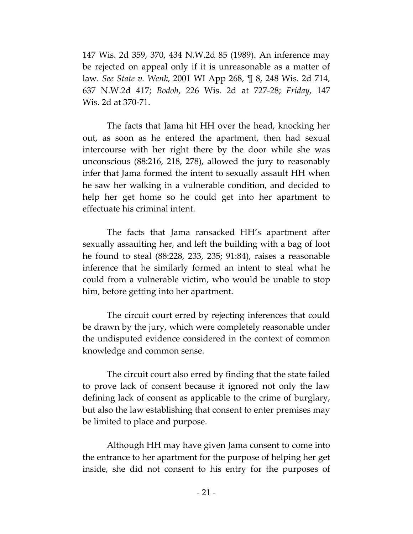147 Wis. 2d 359, 370, 434 N.W.2d 85 (1989). An inference may be rejected on appeal only if it is unreasonable as a matter of law. *See State v. Wenk*, 2001 WI App 268, ¶ 8, 248 Wis. 2d 714, 637 N.W.2d 417; *Bodoh*, 226 Wis. 2d at 727-28; *Friday*, 147 Wis. 2d at 370-71.

The facts that Jama hit HH over the head, knocking her out, as soon as he entered the apartment, then had sexual intercourse with her right there by the door while she was unconscious (88:216, 218, 278), allowed the jury to reasonably infer that Jama formed the intent to sexually assault HH when he saw her walking in a vulnerable condition, and decided to help her get home so he could get into her apartment to effectuate his criminal intent.

The facts that Jama ransacked HH's apartment after sexually assaulting her, and left the building with a bag of loot he found to steal (88:228, 233, 235; 91:84), raises a reasonable inference that he similarly formed an intent to steal what he could from a vulnerable victim, who would be unable to stop him, before getting into her apartment.

The circuit court erred by rejecting inferences that could be drawn by the jury, which were completely reasonable under the undisputed evidence considered in the context of common knowledge and common sense.

The circuit court also erred by finding that the state failed to prove lack of consent because it ignored not only the law defining lack of consent as applicable to the crime of burglary, but also the law establishing that consent to enter premises may be limited to place and purpose.

Although HH may have given Jama consent to come into the entrance to her apartment for the purpose of helping her get inside, she did not consent to his entry for the purposes of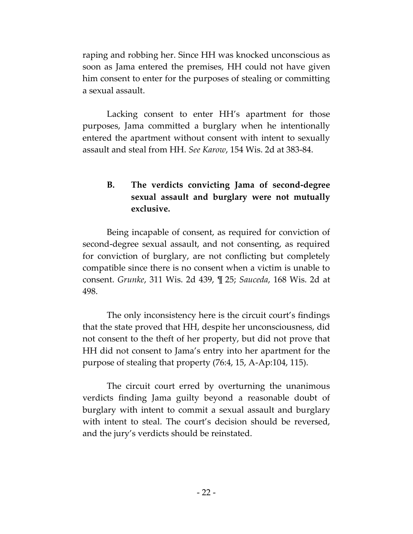raping and robbing her. Since HH was knocked unconscious as soon as Jama entered the premises, HH could not have given him consent to enter for the purposes of stealing or committing a sexual assault.

Lacking consent to enter HH's apartment for those purposes, Jama committed a burglary when he intentionally entered the apartment without consent with intent to sexually assault and steal from HH. *See Karow*, 154 Wis. 2d at 383-84.

# **B. The verdicts convicting Jama of second-degree sexual assault and burglary were not mutually exclusive.**

Being incapable of consent, as required for conviction of second-degree sexual assault, and not consenting, as required for conviction of burglary, are not conflicting but completely compatible since there is no consent when a victim is unable to consent. *Grunke*, 311 Wis. 2d 439, ¶ 25; *Sauceda*, 168 Wis. 2d at 498.

The only inconsistency here is the circuit court's findings that the state proved that HH, despite her unconsciousness, did not consent to the theft of her property, but did not prove that HH did not consent to Jama's entry into her apartment for the purpose of stealing that property (76:4, 15, A-Ap:104, 115).

The circuit court erred by overturning the unanimous verdicts finding Jama guilty beyond a reasonable doubt of burglary with intent to commit a sexual assault and burglary with intent to steal. The court's decision should be reversed, and the jury's verdicts should be reinstated.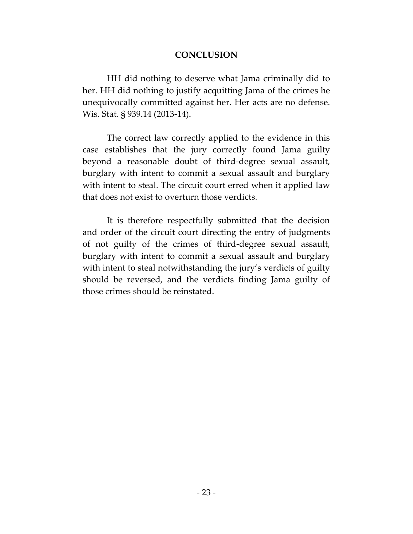### **CONCLUSION**

HH did nothing to deserve what Jama criminally did to her. HH did nothing to justify acquitting Jama of the crimes he unequivocally committed against her. Her acts are no defense. Wis. Stat. § 939.14 (2013-14).

The correct law correctly applied to the evidence in this case establishes that the jury correctly found Jama guilty beyond a reasonable doubt of third-degree sexual assault, burglary with intent to commit a sexual assault and burglary with intent to steal. The circuit court erred when it applied law that does not exist to overturn those verdicts.

It is therefore respectfully submitted that the decision and order of the circuit court directing the entry of judgments of not guilty of the crimes of third-degree sexual assault, burglary with intent to commit a sexual assault and burglary with intent to steal notwithstanding the jury's verdicts of guilty should be reversed, and the verdicts finding Jama guilty of those crimes should be reinstated.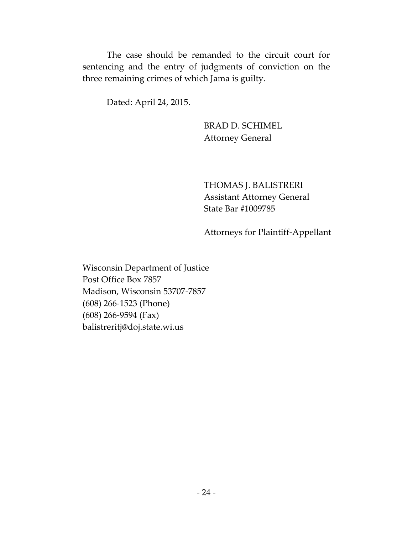The case should be remanded to the circuit court for sentencing and the entry of judgments of conviction on the three remaining crimes of which Jama is guilty.

Dated: April 24, 2015.

BRAD D. SCHIMEL Attorney General

THOMAS J. BALISTRERI Assistant Attorney General State Bar #1009785

Attorneys for Plaintiff-Appellant

Wisconsin Department of Justice Post Office Box 7857 Madison, Wisconsin 53707-7857 (608) 266-1523 (Phone) (608) 266-9594 (Fax) balistreritj@doj.state.wi.us